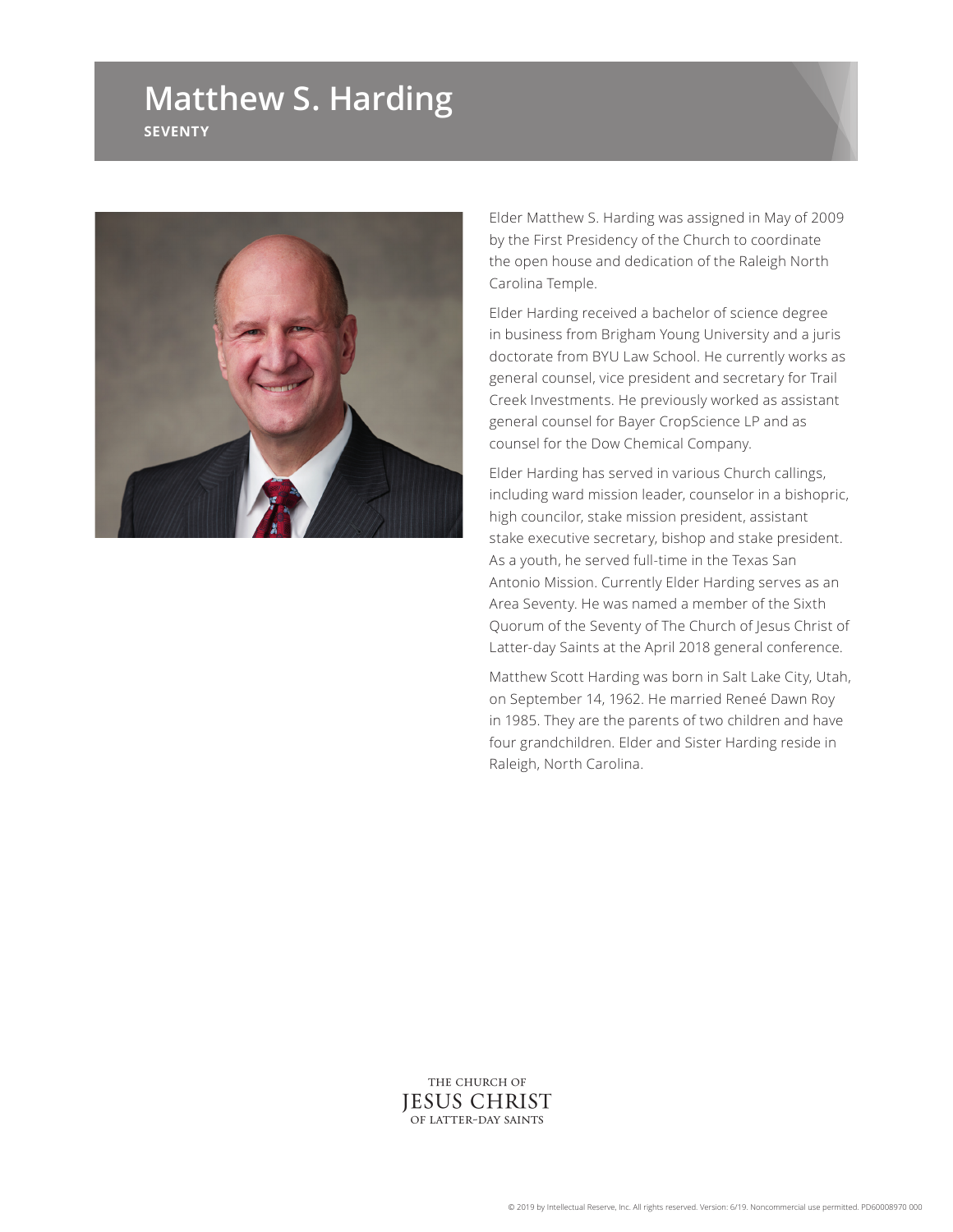## **Matthew S. Harding SEVENTY**



Elder Matthew S. Harding was assigned in May of 2009 by the First Presidency of the Church to coordinate the open house and dedication of the Raleigh North Carolina Temple.

Elder Harding received a bachelor of science degree in business from Brigham Young University and a juris doctorate from BYU Law School. He currently works as general counsel, vice president and secretary for Trail Creek Investments. He previously worked as assistant general counsel for Bayer CropScience LP and as counsel for the Dow Chemical Company.

Elder Harding has served in various Church callings, including ward mission leader, counselor in a bishopric, high councilor, stake mission president, assistant stake executive secretary, bishop and stake president. As a youth, he served full-time in the Texas San Antonio Mission. Currently Elder Harding serves as an Area Seventy. He was named a member of the Sixth Quorum of the Seventy of The Church of Jesus Christ of Latter-day Saints at the April 2018 general conference.

Matthew Scott Harding was born in Salt Lake City, Utah, on September 14, 1962. He married Reneé Dawn Roy in 1985. They are the parents of two children and have four grandchildren. Elder and Sister Harding reside in Raleigh, North Carolina.

THE CHURCH OF **JESUS CHRIST** OF LATTER-DAY SAINTS